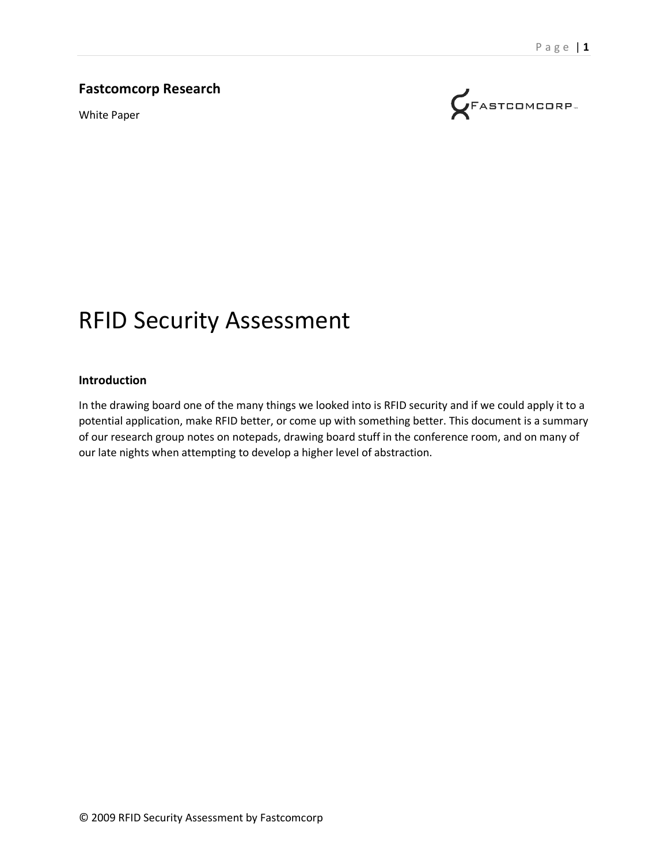#### **Fastcomcorp Research**

White Paper



# RFID Security Assessment

#### **Introduction**

In the drawing board one of the many things we looked into is RFID security and if we could apply it to a potential application, make RFID better, or come up with something better. This document is a summary of our research group notes on notepads, drawing board stuff in the conference room, and on many of our late nights when attempting to develop a higher level of abstraction.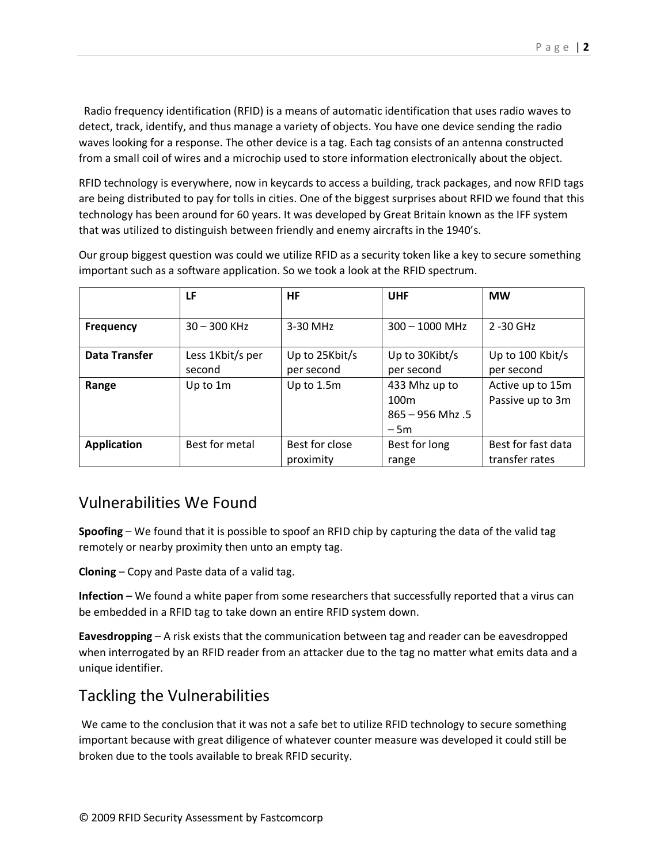Radio frequency identification (RFID) is a means of automatic identification that uses radio waves to detect, track, identify, and thus manage a variety of objects. You have one device sending the radio waves looking for a response. The other device is a tag. Each tag consists of an antenna constructed from a small coil of wires and a microchip used to store information electronically about the object.

RFID technology is everywhere, now in keycards to access a building, track packages, and now RFID tags are being distributed to pay for tolls in cities. One of the biggest surprises about RFID we found that this technology has been around for 60 years. It was developed by Great Britain known as the IFF system that was utilized to distinguish between friendly and enemy aircrafts in the 1940's.

Our group biggest question was could we utilize RFID as a security token like a key to secure something important such as a software application. So we took a look at the RFID spectrum.

|                      | LF                         | <b>HF</b>                    | <b>UHF</b>                                                       | <b>MW</b>                            |
|----------------------|----------------------------|------------------------------|------------------------------------------------------------------|--------------------------------------|
| <b>Frequency</b>     | $30 - 300$ KHz             | 3-30 MHz                     | $300 - 1000$ MHz                                                 | 2-30 GHz                             |
| <b>Data Transfer</b> | Less 1Kbit/s per<br>second | Up to 25Kbit/s<br>per second | Up to 30Kibt/s<br>per second                                     | Up to 100 Kbit/s<br>per second       |
| Range                | Up to 1m                   | Up to 1.5m                   | 433 Mhz up to<br>100 <sub>m</sub><br>$865 - 956$ Mhz .5<br>$-5m$ | Active up to 15m<br>Passive up to 3m |
| <b>Application</b>   | Best for metal             | Best for close<br>proximity  | Best for long<br>range                                           | Best for fast data<br>transfer rates |

#### Vulnerabilities We Found

**Spoofing** – We found that it is possible to spoof an RFID chip by capturing the data of the valid tag remotely or nearby proximity then unto an empty tag.

**Cloning** – Copy and Paste data of a valid tag.

**Infection** – We found a white paper from some researchers that successfully reported that a virus can be embedded in a RFID tag to take down an entire RFID system down.

**Eavesdropping** – A risk exists that the communication between tag and reader can be eavesdropped when interrogated by an RFID reader from an attacker due to the tag no matter what emits data and a unique identifier.

### Tackling the Vulnerabilities

We came to the conclusion that it was not a safe bet to utilize RFID technology to secure something important because with great diligence of whatever counter measure was developed it could still be broken due to the tools available to break RFID security.